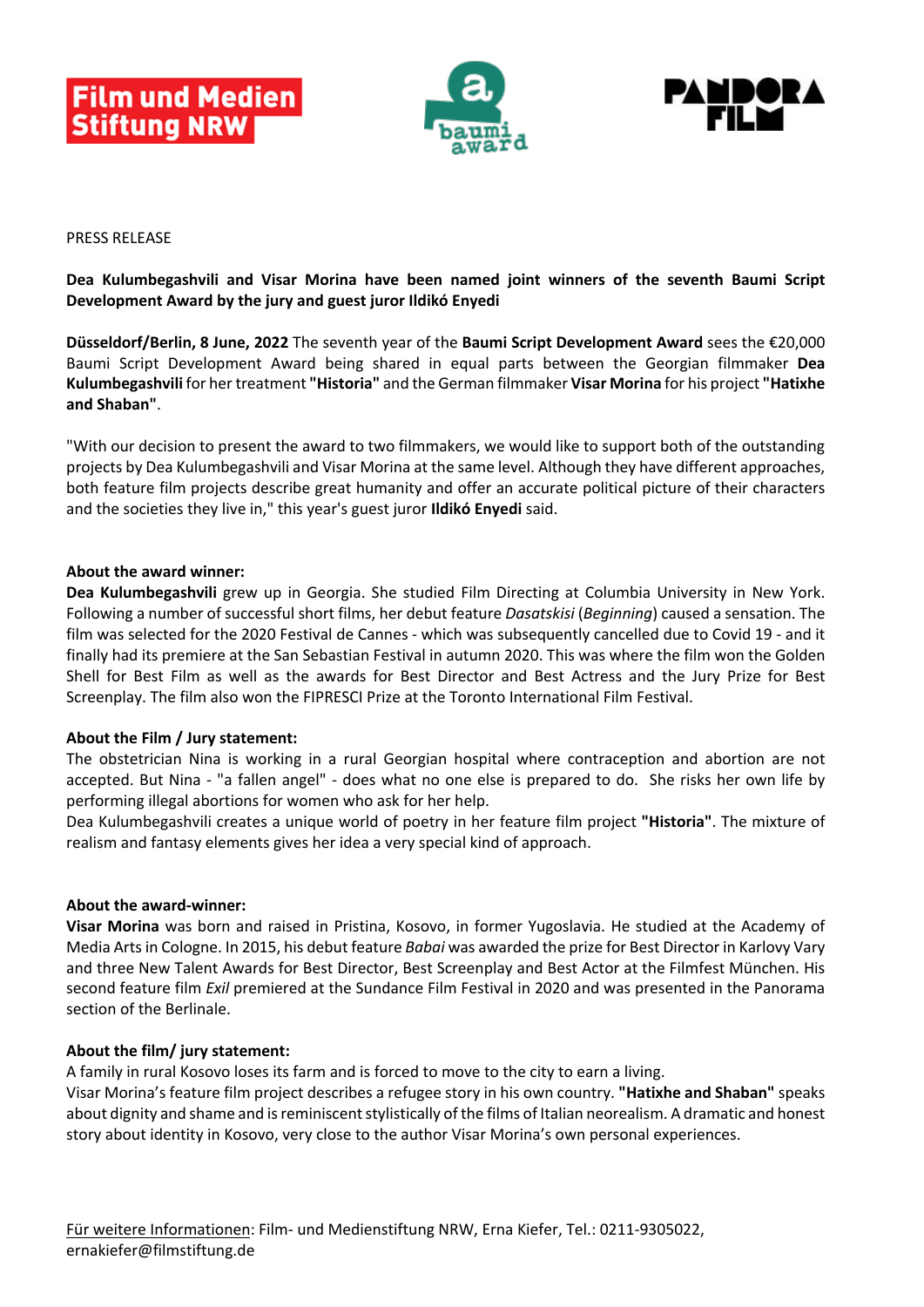





#### PRESS RELEASE

# **Dea Kulumbegashvili and Visar Morina have been named joint winners of the seventh Baumi Script Development Award by the jury and guest juror Ildikó Enyedi**

**Düsseldorf/Berlin, 8 June, 2022** The seventh year of the **Baumi Script Development Award** sees the €20,000 Baumi Script Development Award being shared in equal parts between the Georgian filmmaker **Dea Kulumbegashvili** for her treatment **"Historia"** and the German filmmaker **Visar Morina** for his project **"Hatixhe and Shaban"**.

"With our decision to present the award to two filmmakers, we would like to support both of the outstanding projects by Dea Kulumbegashvili and Visar Morina at the same level. Although they have different approaches, both feature film projects describe great humanity and offer an accurate political picture of their characters and the societies they live in," this year's guest juror **Ildikó Enyedi** said.

## **About the award winner:**

**Dea Kulumbegashvili** grew up in Georgia. She studied Film Directing at Columbia University in New York. Following a number of successful short films, her debut feature *Dasatskisi* (*Beginning*) caused a sensation. The film was selected for the 2020 Festival de Cannes - which was subsequently cancelled due to Covid 19 - and it finally had its premiere at the San Sebastian Festival in autumn 2020. This was where the film won the Golden Shell for Best Film as well as the awards for Best Director and Best Actress and the Jury Prize for Best Screenplay. The film also won the FIPRESCI Prize at the Toronto International Film Festival.

## **About the Film / Jury statement:**

The obstetrician Nina is working in a rural Georgian hospital where contraception and abortion are not accepted. But Nina - "a fallen angel" - does what no one else is prepared to do. She risks her own life by performing illegal abortions for women who ask for her help.

Dea Kulumbegashvili creates a unique world of poetry in her feature film project **"Historia"**. The mixture of realism and fantasy elements gives her idea a very special kind of approach.

## **About the award-winner:**

**Visar Morina** was born and raised in Pristina, Kosovo, in former Yugoslavia. He studied at the Academy of Media Arts in Cologne. In 2015, his debut feature *Babai* was awarded the prize for Best Director in Karlovy Vary and three New Talent Awards for Best Director, Best Screenplay and Best Actor at the Filmfest München. His second feature film *Exil* premiered at the Sundance Film Festival in 2020 and was presented in the Panorama section of the Berlinale.

## **About the film/ jury statement:**

A family in rural Kosovo loses its farm and is forced to move to the city to earn a living.

Visar Morina's feature film project describes a refugee story in his own country. **"Hatixhe and Shaban"** speaks about dignity and shame and is reminiscent stylistically of the films of Italian neorealism. A dramatic and honest story about identity in Kosovo, very close to the author Visar Morina's own personal experiences.